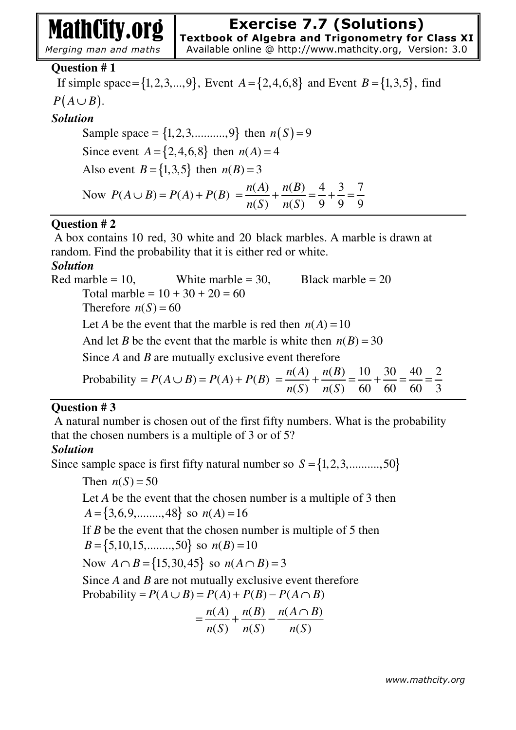# MathCity.org

*Merging man and maths* 

# **Question # 1**

If simple space= $\{1,2,3,...,9\}$ , Event  $A = \{2,4,6,8\}$  and Event  $B = \{1,3,5\}$ , find  $P(A \cup B)$ . *Solution*  Sample space =  $\{1, 2, 3, \ldots, 9\}$  then  $n(S) = 9$ 

Since event  $A = \{2, 4, 6, 8\}$  then  $n(A) = 4$ Also event  $B = \{1, 3, 5\}$  then  $n(B) = 3$ Now  $P(A \cup B) = P(A) + P(B)$  $(A)$   $n(B)$   $4$   $3$   $7$  $(S)$   $n(S)$  9 9 9  $n(A)$   $n(B)$ *n*(*S*) *n*(*S*  $=\frac{n(1)}{n} + \frac{n(D)}{n} = \frac{1}{2} + \frac{3}{2} = \frac{7}{2}$ 

# **Question # 2**

 A box contains 10 red, 30 white and 20 black marbles. A marble is drawn at random. Find the probability that it is either red or white.

# *Solution*

Red marble = 10, White marble = 30, Black marble = 20 Total marble =  $10 + 30 + 20 = 60$ Therefore  $n(S) = 60$ Let *A* be the event that the marble is red then  $n(A) = 10$ And let *B* be the event that the marble is white then  $n(B) = 30$ Since *A* and *B* are mutually exclusive event therefore Probability =  $P(A \cup B) = P(A) + P(B) = \frac{n(A)}{(B)} + \frac{n(B)}{(B)} = \frac{10}{60} + \frac{30}{60} = \frac{40}{60} = \frac{2}{60}$  $(S)$   $n(S)$  60 60 60 3  $n(A)$   $n(B)$ *n*(*S*) *n*(*S*  $=\frac{n(1)}{n} + \frac{n(D)}{n} = \frac{10}{60} + \frac{50}{60} = \frac{40}{60} =$ 

# **Question # 3**

 A natural number is chosen out of the first fifty numbers. What is the probability that the chosen numbers is a multiple of 3 or of 5?

# *Solution*

Since sample space is first fifty natural number so  $S = \{1, 2, 3, \dots, 50\}$ 

Then  $n(S) = 50$ 

Let *A* be the event that the chosen number is a multiple of 3 then  $A = \{3,6,9,...,48\}$  so  $n(A) = 16$ 

If *B* be the event that the chosen number is multiple of 5 then  $B = \{5, 10, 15, \dots, 50\}$  so  $n(B) = 10$ 

Now  $A \cap B = \{15, 30, 45\}$  so  $n(A \cap B) = 3$ 

Since *A* and *B* are not mutually exclusive event therefore Probability =  $P(A \cup B) = P(A) + P(B) - P(A \cap B)$ 

$$
= \frac{n(A)}{n(S)} + \frac{n(B)}{n(S)} - \frac{n(A \cap B)}{n(S)}
$$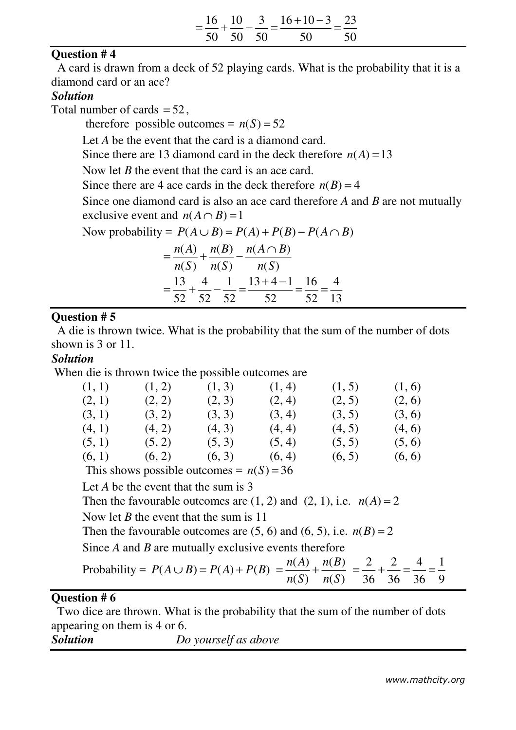|  | $16 \quad 10 \quad 3 \quad 16+10-3 \quad 23$<br>=--+------------ |  |
|--|------------------------------------------------------------------|--|
|  | 50 50 50 50 50                                                   |  |

# **Question # 4**

 A card is drawn from a deck of 52 playing cards. What is the probability that it is a diamond card or an ace?

# *Solution*

Total number of cards  $= 52$ ,

therefore possible outcomes =  $n(S) = 52$ 

Let *A* be the event that the card is a diamond card.

Since there are 13 diamond card in the deck therefore  $n(A) = 13$ 

Now let *B* the event that the card is an ace card.

Since there are 4 ace cards in the deck therefore  $n(B) = 4$ 

Since one diamond card is also an ace card therefore *A* and *B* are not mutually exclusive event and  $n(A \cap B) = 1$ 

Now probability =  $P(A \cup B) = P(A) + P(B) - P(A \cap B)$ 

|          |  | $\frac{n(A)}{n(B)} + \frac{n(B)}{n(C)} - \frac{n(A \cap B)}{n(C)}$ |       |  |
|----------|--|--------------------------------------------------------------------|-------|--|
|          |  | $n(S)$ $n(S)$ $n(S)$                                               |       |  |
|          |  | $13 \quad 4 \quad 1 \quad 13+4-1 \quad 16 \quad 4$                 |       |  |
| 52 52 52 |  | 52                                                                 | 52 13 |  |

#### **Question # 5**

 A die is thrown twice. What is the probability that the sum of the number of dots shown is 3 or 11.

#### *Solution*

When die is thrown twice the possible outcomes are

| (1, 1)                                     | (1, 2) | (1, 3) | (1, 4) | (1, 5) | (1, 6) |  |  |  |
|--------------------------------------------|--------|--------|--------|--------|--------|--|--|--|
| (2, 1)                                     | (2, 2) | (2, 3) | (2, 4) | (2, 5) | (2, 6) |  |  |  |
| (3, 1)                                     | (3, 2) | (3, 3) | (3, 4) | (3, 5) | (3, 6) |  |  |  |
| (4, 1)                                     | (4, 2) | (4, 3) | (4, 4) | (4, 5) | (4, 6) |  |  |  |
| (5, 1)                                     | (5, 2) | (5, 3) | (5, 4) | (5, 5) | (5, 6) |  |  |  |
| (6, 1)                                     | (6, 2) | (6, 3) | (6, 4) | (6, 5) | (6, 6) |  |  |  |
| This shows possible outcomes = $n(S) = 36$ |        |        |        |        |        |  |  |  |

Let *A* be the event that the sum is 3

Then the favourable outcomes are  $(1, 2)$  and  $(2, 1)$ , i.e.  $n(A) = 2$ 

Now let *B* the event that the sum is 11

Then the favourable outcomes are  $(5, 6)$  and  $(6, 5)$ , i.e.  $n(B) = 2$ 

Since *A* and *B* are mutually exclusive events therefore

Probability =  $P(A \cup B) = P(A) + P(B)$  $(A)$   $n(B)$  $(S)$   $n(S)$  $n(A)$   $n(B)$ *n*(*S*) *n*(*S*  $=\frac{n(4)}{n}$  + 2 2 4 1 36 36 36 9  $=\frac{2}{36} + \frac{2}{36} = \frac{1}{36} =$ 

# **Question # 6**

 Two dice are thrown. What is the probability that the sum of the number of dots appearing on them is 4 or 6.

*Solution Do yourself as above*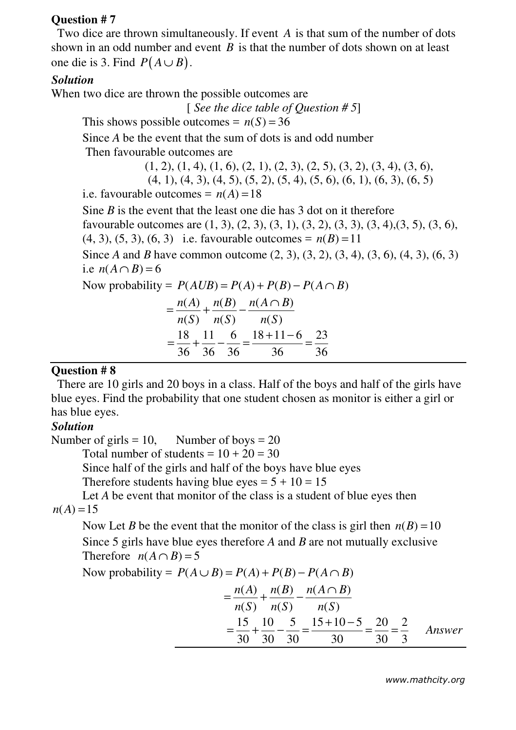#### **Question # 7**

 Two dice are thrown simultaneously. If event *A* is that sum of the number of dots shown in an odd number and event *B* is that the number of dots shown on at least one die is 3. Find  $P(A \cup B)$ .

# *Solution*

When two dice are thrown the possible outcomes are

[ *See the dice table of Question # 5*]

This shows possible outcomes =  $n(S) = 36$ 

Since *A* be the event that the sum of dots is and odd number

Then favourable outcomes are

 $(1, 2), (1, 4), (1, 6), (2, 1), (2, 3), (2, 5), (3, 2), (3, 4), (3, 6),$ 

 $(4, 1), (4, 3), (4, 5), (5, 2), (5, 4), (5, 6), (6, 1), (6, 3), (6, 5)$ 

i.e. favourable outcomes =  $n(A) = 18$ 

Sine *B* is the event that the least one die has 3 dot on it therefore favourable outcomes are (1, 3), (2, 3), (3, 1), (3, 2), (3, 3), (3, 4),(3, 5), (3, 6),  $(4, 3), (5, 3), (6, 3)$  i.e. favourable outcomes =  $n(B) = 11$ 

Since *A* and *B* have common outcome (2, 3), (3, 2), (3, 4), (3, 6), (4, 3), (6, 3) i.e  $n(A \cap B) = 6$ 

Now probability =  $P(AUB) = P(A) + P(B) - P(A \cap B)$ 

$$
= \frac{n(A)}{n(S)} + \frac{n(B)}{n(S)} - \frac{n(A \cap B)}{n(S)}
$$
  
=  $\frac{18}{36} + \frac{11}{36} - \frac{6}{36} = \frac{18 + 11 - 6}{36} = \frac{23}{36}$ 

#### **Question # 8**

 There are 10 girls and 20 boys in a class. Half of the boys and half of the girls have blue eyes. Find the probability that one student chosen as monitor is either a girl or has blue eyes.

#### *Solution*

Number of girls = 10, Number of boys =  $20$ 

Total number of students =  $10 + 20 = 30$ 

Since half of the girls and half of the boys have blue eyes

Therefore students having blue eyes =  $5 + 10 = 15$ 

Let *A* be event that monitor of the class is a student of blue eyes then  $n(A) = 15$ 

Now Let *B* be the event that the monitor of the class is girl then  $n(B) = 10$ Since 5 girls have blue eyes therefore *A* and *B* are not mutually exclusive Therefore  $n(A \cap B) = 5$ 

Now probability = 
$$
P(A \cup B) = P(A) + P(B) - P(A \cap B)
$$
  
=  $\frac{n(A)}{n(S)} + \frac{n(B)}{n(S)} - \frac{n(A \cap B)}{n(S)}$   
=  $\frac{15}{30} + \frac{10}{30} - \frac{5}{30} = \frac{15 + 10 - 5}{30} = \frac{20}{30} = \frac{2}{3}$  Answer